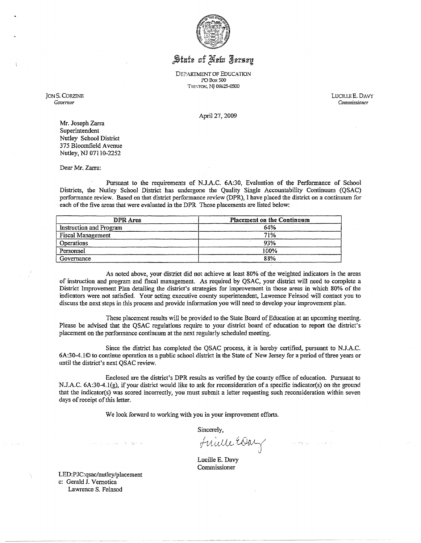

## State of New Jersey

DEPARTMENT OF EDUCATION l'OBoxSOO TRENTON, NJ 08625-0500

JON S. CORZINE *Gouemor* 

LUCILLE E. DAVY Commissioner

April27,2009

Mr. Joseph Zarra Superintendent Nutley School District 375 Bloomfield Avenue Nutley, NJ 07110-2252

Dear Mr. Zarra:

Pursuant to the requirements of N.J.AC. 6A:30, Evaluation of the Performance of School Districts, the Nutley School District has undergone the Quality Single Accountability Continuum (QSAC) performance review. Based on that district performance review (DPR), I have placed the district on a continuum for each of the five areas that were evaiuated in the DPR Those placements are listed below:

| DPR Area                 | <b>Placement on the Continuum</b> |
|--------------------------|-----------------------------------|
| Instruction and Program  | 64%                               |
| <b>Fiscal Management</b> | 71%                               |
| <b>Operations</b>        | 93%                               |
| Personnel                | 100%                              |
| Governance               | 88%                               |

As noted above, your district did not achieve at least 80% of the weighted indicators in the areas of instruction and program and fiscal management. As required by QSAC, your district will need to complete a District Improvement Plan detailing the district's strategies for improvement in those areas in which 80% of the indicators were not satisfied. Your acting executive county superintendent, Lawrence Feinsod will contact you to discuss the next steps in this process and provide information you will need to develop your improvement plan.

These placement results will be provided to the State Board of Education at an upcoming meeting. Please be advised that the QSAC regulations require to your district board of education to report the district's placement on the performance continuum at the next regularly scheduled meeting.

Since the district has completed the QSAC process, it is hereby certified, pursuant to N.J.A.C. 6A:30-4.l© to continue operation as a public school district in the State of New Jersey for a period of three years or until the district's next QSAC review.

Enclosed are the district's DPR resuits as verified by the county office of education. Pursuant to N.J.A.C. 6A:30-4.1(g), if your district would like to ask for reconsideration of a specific indicator(s) on the ground that the indicator(s) was scored incorrectly, you must submit a letter requesting such reconsideration within seven days of receipt of this letter.

We look forward to working with you in your improvement efforts.

Sincerely,

Frialle EOa i.,

-------- -- ------------

Lucille E. Davy Commissioner

LED:PJC:qsac/nutley/placement c: Gerald J. Vernotica Lawrence S. Feinsod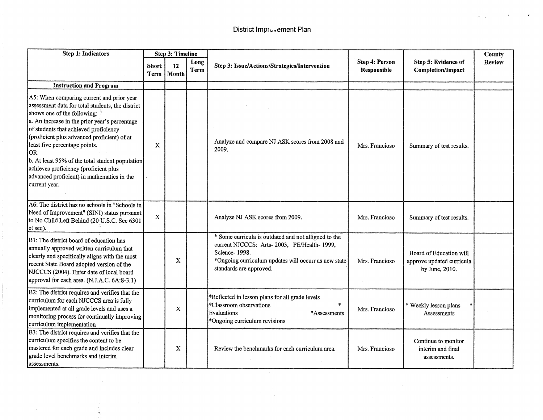| <b>Step 1: Indicators</b>                                                                                                                                                                                                                                                                                                                                                                                                                                                | <b>Step 3: Timeline</b> |             |              |                                                                                                                                                                                                        |                                      |                                                                        | County |
|--------------------------------------------------------------------------------------------------------------------------------------------------------------------------------------------------------------------------------------------------------------------------------------------------------------------------------------------------------------------------------------------------------------------------------------------------------------------------|-------------------------|-------------|--------------|--------------------------------------------------------------------------------------------------------------------------------------------------------------------------------------------------------|--------------------------------------|------------------------------------------------------------------------|--------|
|                                                                                                                                                                                                                                                                                                                                                                                                                                                                          | Short<br>Term           | 12<br>Month | Long<br>Term | Step 3: Issue/Actions/Strategies/Intervention                                                                                                                                                          | <b>Step 4: Person</b><br>Responsible | Step 5: Evidence of<br><b>Completion/Impact</b>                        | Review |
| <b>Instruction and Program</b>                                                                                                                                                                                                                                                                                                                                                                                                                                           |                         |             |              |                                                                                                                                                                                                        |                                      |                                                                        |        |
| A5: When comparing current and prior year<br>assessment data for total students, the district<br>shows one of the following:<br>a. An increase in the prior year's percentage<br>of students that achieved proficiency<br>(proficient plus advanced proficient) of at<br>least five percentage points.<br>OR)<br>b. At least 95% of the total student population<br>achieves proficiency (proficient plus<br>advanced proficient) in mathematics in the<br>current year. | X                       |             |              | Analyze and compare NJ ASK scores from 2008 and<br>2009.                                                                                                                                               | Mrs. Francioso                       | Summary of test results.                                               |        |
| A6: The district has no schools in "Schools in<br>Need of Improvement" (SINI) status pursuant<br>to No Child Left Behind (20 U.S.C. Sec 6301<br>et seq).                                                                                                                                                                                                                                                                                                                 | $\mathbf X$             |             |              | Analyze NJ ASK scores from 2009.                                                                                                                                                                       | Mrs. Francioso                       | Summary of test results.                                               |        |
| B1: The district board of education has<br>annually approved written curriculum that<br>clearly and specifically aligns with the most<br>recent State Board adopted version of the<br>NJCCCS (2004). Enter date of local board<br>approval for each area. (N.J.A.C. 6A:8-3.1)                                                                                                                                                                                            |                         | X           |              | * Some curricula is outdated and not alligned to the<br>current NJCCCS: Arts-2003, PE/Health-1999,<br>Science-1998.<br>*Ongoing curriculum updates will occurr as new state<br>standards are approved. | Mrs. Francioso                       | Board of Education will<br>approve updated curricula<br>by June, 2010. |        |
| B2: The district requires and verifies that the<br>curriculum for each NJCCCS area is fully<br>implemented at all grade levels and uses a<br>monitoring process for continually improving<br>curriculum implementation                                                                                                                                                                                                                                                   |                         | $\mathbf X$ |              | *Reflected in lesson plans for all grade levels<br>*Classroom observations<br>索<br>Evaluations<br>*Assessments<br>*Ongoing curriculum revisions                                                        | Mrs. Francioso                       | * Weekly lesson plans<br>Assessments                                   |        |
| B3: The district requires and verifies that the<br>curriculum specifies the content to be<br>mastered for each grade and includes clear<br>grade level benchmarks and interim<br>assessments.                                                                                                                                                                                                                                                                            |                         | X           |              | Review the benchmarks for each curriculum area.                                                                                                                                                        | Mrs. Francioso                       | Continue to monitor<br>interim and final<br>assessments.               |        |

 $\epsilon$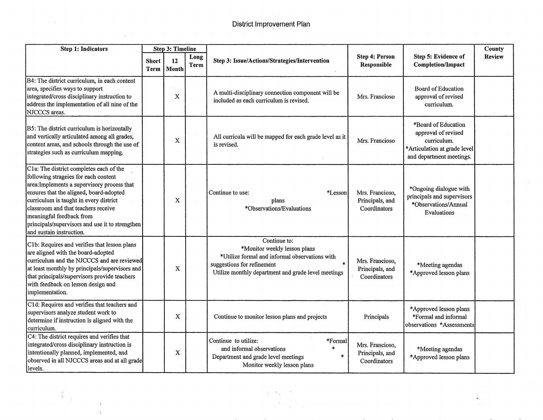$\Delta \phi$ 

 $\mathcal{L}_{\mathrm{eff}}$ 

 $\mathcal{A}$ 

| Step 1: Indicators                                                                                                                                                                                                                                                                                                                                                    | Step 3: Timeline     |             |              |                                                                                                                                                                                     |                                                    |                                                                                                                       | County        |
|-----------------------------------------------------------------------------------------------------------------------------------------------------------------------------------------------------------------------------------------------------------------------------------------------------------------------------------------------------------------------|----------------------|-------------|--------------|-------------------------------------------------------------------------------------------------------------------------------------------------------------------------------------|----------------------------------------------------|-----------------------------------------------------------------------------------------------------------------------|---------------|
|                                                                                                                                                                                                                                                                                                                                                                       | <b>Short</b><br>Term | 12<br>Month | Long<br>Term | Step 3: Issue/Actions/Strategies/Intervention                                                                                                                                       | Step 4: Person<br>Responsible                      | Step 5: Evidence of<br><b>Completion/Impact</b>                                                                       | <b>Review</b> |
| B4: The district curriculum, in each content<br>area, specifies ways to support<br>integrated/cross disciplinary instruction to<br>address the implementation of all nine of the<br>NJCCCS areas.                                                                                                                                                                     |                      | $\mathbf X$ |              | A multi-disciplinary connection component will be<br>included as each curriculum is revised.                                                                                        | Mrs. Francioso                                     | Board of Education<br>approval of revised<br>curriculum.                                                              |               |
| B5: The district curriculum is horizontally<br>and vertically articulated among all grades,<br>content areas, and schools through the use of<br>strategies such as curriculum mapping.                                                                                                                                                                                |                      | X           |              | All curricula will be mapped for each grade level as it<br>is revised.                                                                                                              | Mrs. Francioso                                     | *Board of Education<br>approval of revised<br>curriculum.<br>*Articulation at grade level<br>and department meetings. |               |
| C1a: The district completes each of the<br>following strageies for each content<br>area: Implements a supervisory process that<br>ensures that the aligned, board-adopted<br>curriculum is taught in every district<br>classroom and that teachers receive<br>meaningful feedback from<br>principals/supervisors and use it to strengthen<br>and sustain instruction. |                      | X           |              | Continue to use:<br>*Lesson<br>plans<br>*Observations/Evaluations                                                                                                                   | Mrs. Francioso,<br>Principals, and<br>Coordinators | *Ongoing dialogue with<br>principals and supervisors<br>*Observations/Annual<br>Evaluations                           |               |
| C1b: Requires and verifies that lesson plans<br>are aligned with the board-adopted<br>curriculum and the NJCCCS and are reviewed<br>at least monthly by principals/supervisors and<br>that principals/supervisors provide teachers<br>with feedback on lesson design and<br>implementation.                                                                           |                      | X           |              | Continue to:<br>*Monitor weekly lesson plans<br>*Utilize formal and informal observations with<br>suggestions for refinement<br>Utilize monthly department and grade level meetings | Mrs. Francioso,<br>Principals, and<br>Coordinators | *Meeting agendas<br>*Approved lesson plans                                                                            |               |
| C1d: Requires and verifies that teachers and<br>supervisors analyze student work to<br>determine if instruction is aligned with the<br>curriculum.                                                                                                                                                                                                                    |                      | X           |              | Continue to monitor lesson plans and projects                                                                                                                                       | Principals                                         | *Approved lesson plans<br>*Formal and informal<br>observations *Assessments                                           |               |
| C4: The district requires and verifies that<br>integrated/cross disciplinary instruction is<br>intentionally planned, implemented, and<br>observed in all NJCCCS areas and at all grade<br>levels.                                                                                                                                                                    |                      | X           |              | Continue to utilize:<br>*Formal<br>and informal observations<br>$\star$<br>Department and grade level meetings<br>Monitor weekly lesson plans                                       | Mrs. Francioso,<br>Principals, and<br>Coordinators | *Meeting agendas<br>*Approved lesson plans                                                                            |               |